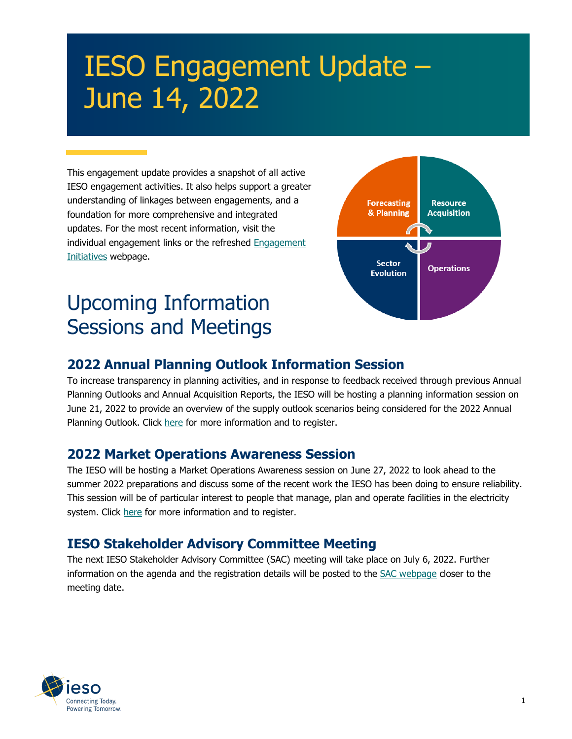# IESO Engagement Update – June 14, 2022

This engagement update provides a snapshot of all active IESO engagement activities. It also helps support a greater understanding of linkages between engagements, and a foundation for more comprehensive and integrated updates. For the most recent information, visit the individual engagement links or the refreshed [Engagement](https://www.ieso.ca/en/Sector-Participants/Engagement-Initiatives/Engagements)  [Initiatives](https://www.ieso.ca/en/Sector-Participants/Engagement-Initiatives/Engagements) webpage.

## Upcoming Information Sessions and Meetings



## **2022 Annual Planning Outlook Information Session**

To increase transparency in planning activities, and in response to feedback received through previous Annual Planning Outlooks and Annual Acquisition Reports, the IESO will be hosting a planning information session on June 21, 2022 to provide an overview of the supply outlook scenarios being considered for the 2022 Annual Planning Outlook. Click [here](https://www.ieso.ca/en/Sector-Participants/Engagement-Initiatives/Engagements/2022-Annual-Planning-Outlook-Supply-Scenarios-Planning-Information-Session) for more information and to register.

### **2022 Market Operations Awareness Session**

The IESO will be hosting a Market Operations Awareness session on June 27, 2022 to look ahead to the summer 2022 preparations and discuss some of the recent work the IESO has been doing to ensure reliability. This session will be of particular interest to people that manage, plan and operate facilities in the electricity system. Click [here](https://www.ieso.ca/en/Sector-Participants/IESO-News/2022/06/2022-Operations-Awareness-Session-Registration-Now-Open) for more information and to register.

## **IESO Stakeholder Advisory Committee Meeting**

The next IESO Stakeholder Advisory Committee (SAC) meeting will take place on July 6, 2022. Further information on the agenda and the registration details will be posted to the [SAC webpage](https://ieso.ca/en/Sector-Participants/Engagement-Initiatives/Stakeholder-Advisory-Committee/Meetings-and-Materials) closer to the meeting date.

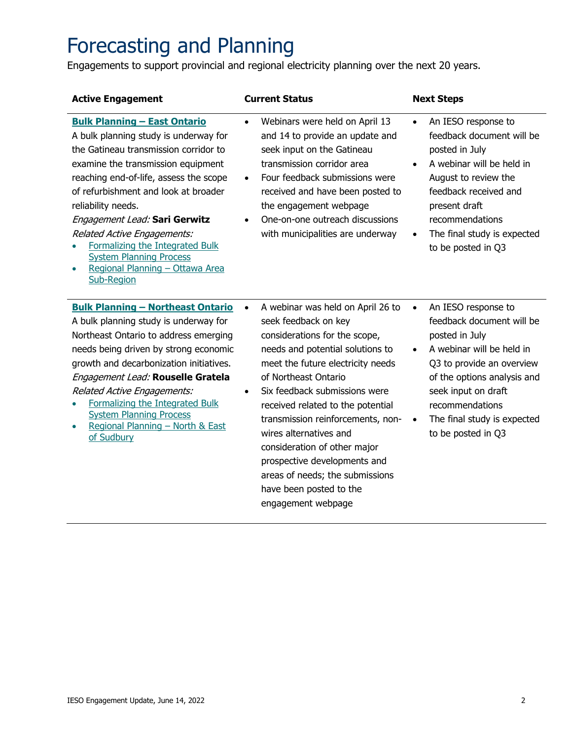# Forecasting and Planning

Engagements to support provincial and regional electricity planning over the next 20 years.

| <b>Active Engagement</b>                                                                                                                                                                                                                                                                                                                                                                                                                                  | <b>Current Status</b>                                                                                                                                                                                                                                                                                                                                                                                                                                                                                          | <b>Next Steps</b>                                                                                                                                                                                                                                                                |
|-----------------------------------------------------------------------------------------------------------------------------------------------------------------------------------------------------------------------------------------------------------------------------------------------------------------------------------------------------------------------------------------------------------------------------------------------------------|----------------------------------------------------------------------------------------------------------------------------------------------------------------------------------------------------------------------------------------------------------------------------------------------------------------------------------------------------------------------------------------------------------------------------------------------------------------------------------------------------------------|----------------------------------------------------------------------------------------------------------------------------------------------------------------------------------------------------------------------------------------------------------------------------------|
| <b>Bulk Planning - East Ontario</b><br>A bulk planning study is underway for<br>the Gatineau transmission corridor to<br>examine the transmission equipment<br>reaching end-of-life, assess the scope<br>of refurbishment and look at broader<br>reliability needs.<br>Engagement Lead: Sari Gerwitz<br>Related Active Engagements:<br>Formalizing the Integrated Bulk<br><b>System Planning Process</b><br>Regional Planning - Ottawa Area<br>Sub-Region | Webinars were held on April 13<br>$\bullet$<br>and 14 to provide an update and<br>seek input on the Gatineau<br>transmission corridor area<br>Four feedback submissions were<br>$\bullet$<br>received and have been posted to<br>the engagement webpage<br>One-on-one outreach discussions<br>$\bullet$<br>with municipalities are underway                                                                                                                                                                    | An IESO response to<br>$\bullet$<br>feedback document will be<br>posted in July<br>A webinar will be held in<br>$\bullet$<br>August to review the<br>feedback received and<br>present draft<br>recommendations<br>The final study is expected<br>$\bullet$<br>to be posted in Q3 |
| <b>Bulk Planning - Northeast Ontario</b><br>A bulk planning study is underway for<br>Northeast Ontario to address emerging<br>needs being driven by strong economic<br>growth and decarbonization initiatives.<br>Engagement Lead: Rouselle Gratela<br>Related Active Engagements:<br>Formalizing the Integrated Bulk<br><b>System Planning Process</b><br>Regional Planning - North & East<br>of Sudbury                                                 | A webinar was held on April 26 to<br>$\bullet$<br>seek feedback on key<br>considerations for the scope,<br>needs and potential solutions to<br>meet the future electricity needs<br>of Northeast Ontario<br>Six feedback submissions were<br>$\bullet$<br>received related to the potential<br>transmission reinforcements, non-<br>wires alternatives and<br>consideration of other major<br>prospective developments and<br>areas of needs; the submissions<br>have been posted to the<br>engagement webpage | An IESO response to<br>$\bullet$<br>feedback document will be<br>posted in July<br>A webinar will be held in<br>Q3 to provide an overview<br>of the options analysis and<br>seek input on draft<br>recommendations<br>The final study is expected<br>to be posted in Q3          |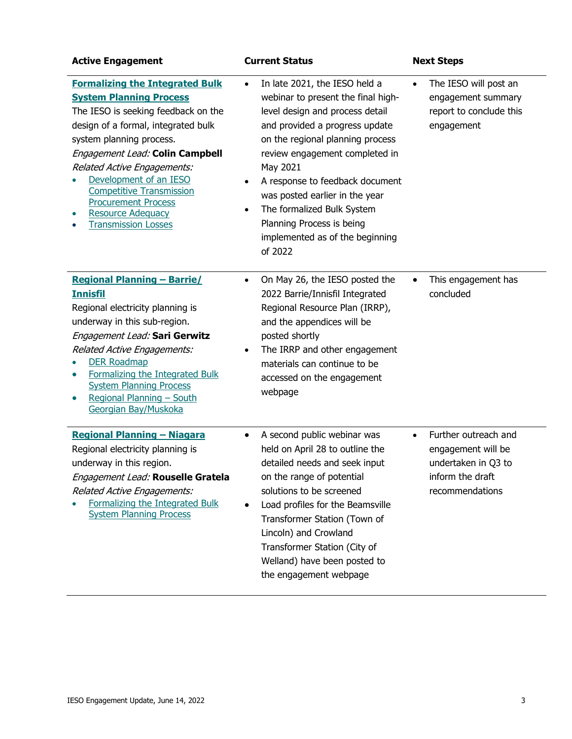| <b>Active Engagement</b>                                                                                                                                                                                                                                                                                                                                                                                  | <b>Current Status</b>                                                                                                                                                                                                                                                                                                                                                                                                 | <b>Next Steps</b>                                                                                                     |
|-----------------------------------------------------------------------------------------------------------------------------------------------------------------------------------------------------------------------------------------------------------------------------------------------------------------------------------------------------------------------------------------------------------|-----------------------------------------------------------------------------------------------------------------------------------------------------------------------------------------------------------------------------------------------------------------------------------------------------------------------------------------------------------------------------------------------------------------------|-----------------------------------------------------------------------------------------------------------------------|
| <b>Formalizing the Integrated Bulk</b><br><b>System Planning Process</b><br>The IESO is seeking feedback on the<br>design of a formal, integrated bulk<br>system planning process.<br>Engagement Lead: Colin Campbell<br>Related Active Engagements:<br>Development of an IESO<br><b>Competitive Transmission</b><br><b>Procurement Process</b><br><b>Resource Adequacy</b><br><b>Transmission Losses</b> | In late 2021, the IESO held a<br>$\bullet$<br>webinar to present the final high-<br>level design and process detail<br>and provided a progress update<br>on the regional planning process<br>review engagement completed in<br>May 2021<br>A response to feedback document<br>was posted earlier in the year<br>The formalized Bulk System<br>Planning Process is being<br>implemented as of the beginning<br>of 2022 | The IESO will post an<br>$\bullet$<br>engagement summary<br>report to conclude this<br>engagement                     |
| <b>Regional Planning - Barrie/</b><br><b>Innisfil</b><br>Regional electricity planning is<br>underway in this sub-region.<br>Engagement Lead: Sari Gerwitz<br>Related Active Engagements:<br><b>DER Roadmap</b><br>Formalizing the Integrated Bulk<br><b>System Planning Process</b><br>Regional Planning - South<br>Georgian Bay/Muskoka                                                                 | On May 26, the IESO posted the<br>$\bullet$<br>2022 Barrie/Innisfil Integrated<br>Regional Resource Plan (IRRP),<br>and the appendices will be<br>posted shortly<br>The IRRP and other engagement<br>$\bullet$<br>materials can continue to be<br>accessed on the engagement<br>webpage                                                                                                                               | This engagement has<br>$\bullet$<br>concluded                                                                         |
| <b>Regional Planning - Niagara</b><br>Regional electricity planning is<br>underway in this region.<br>Engagement Lead: Rouselle Gratela<br>Related Active Engagements:<br>Formalizing the Integrated Bulk<br><b>System Planning Process</b>                                                                                                                                                               | A second public webinar was<br>$\bullet$<br>held on April 28 to outline the<br>detailed needs and seek input<br>on the range of potential<br>solutions to be screened<br>Load profiles for the Beamsville<br>Transformer Station (Town of<br>Lincoln) and Crowland<br>Transformer Station (City of<br>Welland) have been posted to<br>the engagement webpage                                                          | Further outreach and<br>$\bullet$<br>engagement will be<br>undertaken in Q3 to<br>inform the draft<br>recommendations |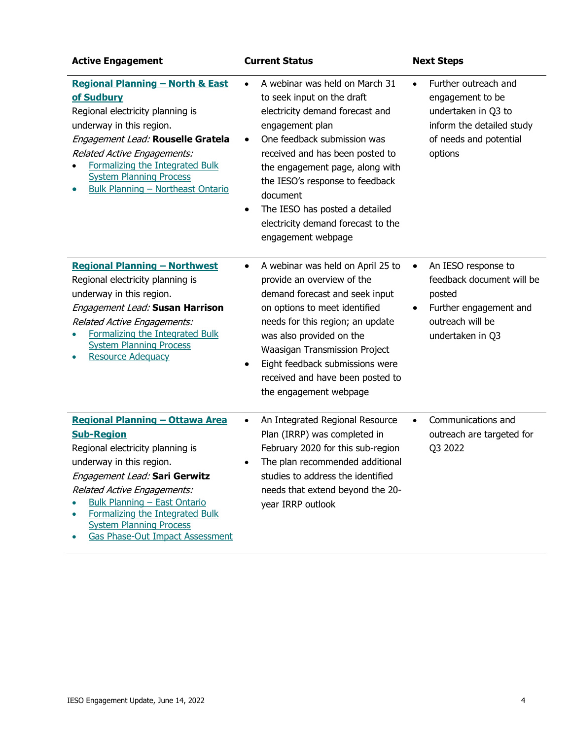| <b>Active Engagement</b>                                                                                                                                                                                                                                                                                                                   | <b>Current Status</b>                                                                                                                                                                                                                                                                                                                                                             | <b>Next Steps</b>                                                                                                                                      |
|--------------------------------------------------------------------------------------------------------------------------------------------------------------------------------------------------------------------------------------------------------------------------------------------------------------------------------------------|-----------------------------------------------------------------------------------------------------------------------------------------------------------------------------------------------------------------------------------------------------------------------------------------------------------------------------------------------------------------------------------|--------------------------------------------------------------------------------------------------------------------------------------------------------|
| <b>Regional Planning - North &amp; East</b><br>of Sudbury<br>Regional electricity planning is<br>underway in this region.<br>Engagement Lead: Rouselle Gratela<br>Related Active Engagements:<br>Formalizing the Integrated Bulk<br><b>System Planning Process</b><br>Bulk Planning - Northeast Ontario                                    | A webinar was held on March 31<br>to seek input on the draft<br>electricity demand forecast and<br>engagement plan<br>One feedback submission was<br>$\bullet$<br>received and has been posted to<br>the engagement page, along with<br>the IESO's response to feedback<br>document<br>The IESO has posted a detailed<br>electricity demand forecast to the<br>engagement webpage | Further outreach and<br>$\bullet$<br>engagement to be<br>undertaken in Q3 to<br>inform the detailed study<br>of needs and potential<br>options         |
| <b>Regional Planning - Northwest</b><br>Regional electricity planning is<br>underway in this region.<br>Engagement Lead: Susan Harrison<br>Related Active Engagements:<br>Formalizing the Integrated Bulk<br><b>System Planning Process</b><br><b>Resource Adequacy</b>                                                                    | A webinar was held on April 25 to<br>provide an overview of the<br>demand forecast and seek input<br>on options to meet identified<br>needs for this region; an update<br>was also provided on the<br>Waasigan Transmission Project<br>Eight feedback submissions were<br>$\bullet$<br>received and have been posted to<br>the engagement webpage                                 | An IESO response to<br>$\bullet$<br>feedback document will be<br>posted<br>Further engagement and<br>$\bullet$<br>outreach will be<br>undertaken in Q3 |
| Regional Planning - Ottawa Area<br><b>Sub-Region</b><br>Regional electricity planning is<br>underway in this region.<br>Engagement Lead: Sari Gerwitz<br>Related Active Engagements:<br><b>Bulk Planning - East Ontario</b><br>Formalizing the Integrated Bulk<br><b>System Planning Process</b><br><b>Gas Phase-Out Impact Assessment</b> | An Integrated Regional Resource<br>$\bullet$<br>Plan (IRRP) was completed in<br>February 2020 for this sub-region<br>The plan recommended additional<br>studies to address the identified<br>needs that extend beyond the 20-<br>year IRRP outlook                                                                                                                                | Communications and<br>$\bullet$<br>outreach are targeted for<br>Q3 2022                                                                                |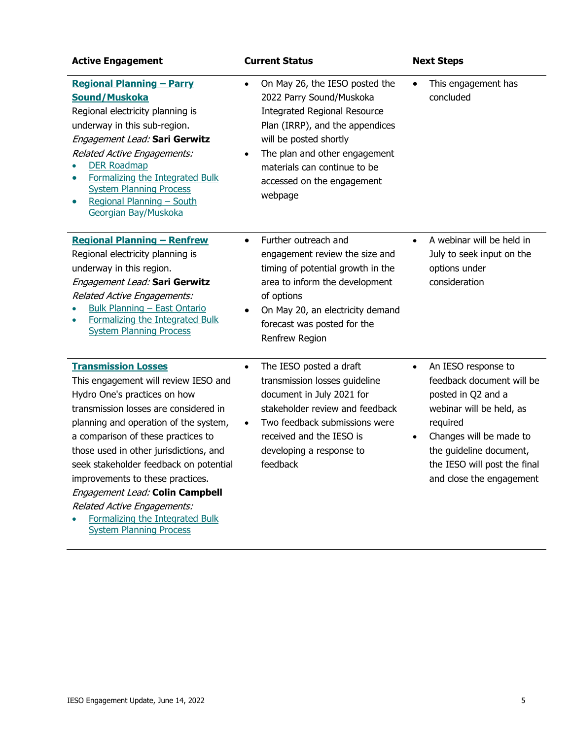| <b>Active Engagement</b>                                                                                                                                                                                                                                                                                                                                                                                                                                                                  | <b>Current Status</b>                                                                                                                                                                                                                                                                              | <b>Next Steps</b>                                                                                                                                                                                                                                          |
|-------------------------------------------------------------------------------------------------------------------------------------------------------------------------------------------------------------------------------------------------------------------------------------------------------------------------------------------------------------------------------------------------------------------------------------------------------------------------------------------|----------------------------------------------------------------------------------------------------------------------------------------------------------------------------------------------------------------------------------------------------------------------------------------------------|------------------------------------------------------------------------------------------------------------------------------------------------------------------------------------------------------------------------------------------------------------|
| <b>Regional Planning - Parry</b><br><b>Sound/Muskoka</b><br>Regional electricity planning is<br>underway in this sub-region.<br>Engagement Lead: Sari Gerwitz<br>Related Active Engagements:<br><b>DER Roadmap</b><br>Formalizing the Integrated Bulk<br><b>System Planning Process</b><br>Regional Planning - South<br>Georgian Bay/Muskoka                                                                                                                                              | On May 26, the IESO posted the<br>$\bullet$<br>2022 Parry Sound/Muskoka<br><b>Integrated Regional Resource</b><br>Plan (IRRP), and the appendices<br>will be posted shortly<br>The plan and other engagement<br>$\bullet$<br>materials can continue to be<br>accessed on the engagement<br>webpage | This engagement has<br>$\bullet$<br>concluded                                                                                                                                                                                                              |
| <b>Regional Planning - Renfrew</b><br>Regional electricity planning is<br>underway in this region.<br>Engagement Lead: Sari Gerwitz<br>Related Active Engagements:<br><b>Bulk Planning - East Ontario</b><br>Formalizing the Integrated Bulk<br><b>System Planning Process</b>                                                                                                                                                                                                            | Further outreach and<br>$\bullet$<br>engagement review the size and<br>timing of potential growth in the<br>area to inform the development<br>of options<br>On May 20, an electricity demand<br>forecast was posted for the<br>Renfrew Region                                                      | A webinar will be held in<br>$\bullet$<br>July to seek input on the<br>options under<br>consideration                                                                                                                                                      |
| <b>Transmission Losses</b><br>This engagement will review IESO and<br>Hydro One's practices on how<br>transmission losses are considered in<br>planning and operation of the system,<br>a comparison of these practices to<br>those used in other jurisdictions, and<br>seek stakeholder feedback on potential<br>improvements to these practices.<br>Engagement Lead: Colin Campbell<br>Related Active Engagements:<br>Formalizing the Integrated Bulk<br><b>System Planning Process</b> | The IESO posted a draft<br>$\bullet$<br>transmission losses guideline<br>document in July 2021 for<br>stakeholder review and feedback<br>Two feedback submissions were<br>$\bullet$<br>received and the IESO is<br>developing a response to<br>feedback                                            | An IESO response to<br>$\bullet$<br>feedback document will be<br>posted in Q2 and a<br>webinar will be held, as<br>required<br>Changes will be made to<br>$\bullet$<br>the guideline document,<br>the IESO will post the final<br>and close the engagement |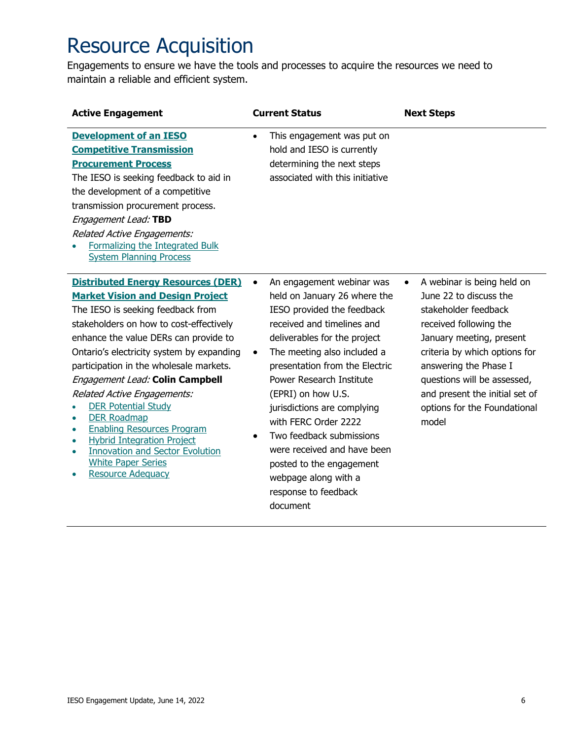## Resource Acquisition

Engagements to ensure we have the tools and processes to acquire the resources we need to maintain a reliable and efficient system.

| <b>Active Engagement</b>                                                                                                                                                                                                                                                                                                                                                                                                                                                                                                                                                                                                                        | <b>Current Status</b>                                                                                                                                                                                                                                                                                                                                                                                                                                                                                                     | <b>Next Steps</b>                                                                                                                                                                                                                                                                                                   |
|-------------------------------------------------------------------------------------------------------------------------------------------------------------------------------------------------------------------------------------------------------------------------------------------------------------------------------------------------------------------------------------------------------------------------------------------------------------------------------------------------------------------------------------------------------------------------------------------------------------------------------------------------|---------------------------------------------------------------------------------------------------------------------------------------------------------------------------------------------------------------------------------------------------------------------------------------------------------------------------------------------------------------------------------------------------------------------------------------------------------------------------------------------------------------------------|---------------------------------------------------------------------------------------------------------------------------------------------------------------------------------------------------------------------------------------------------------------------------------------------------------------------|
| <b>Development of an IESO</b><br><b>Competitive Transmission</b><br><b>Procurement Process</b><br>The IESO is seeking feedback to aid in<br>the development of a competitive<br>transmission procurement process.<br>Engagement Lead: TBD<br>Related Active Engagements:<br>Formalizing the Integrated Bulk<br><b>System Planning Process</b>                                                                                                                                                                                                                                                                                                   | This engagement was put on<br>$\bullet$<br>hold and IESO is currently<br>determining the next steps<br>associated with this initiative                                                                                                                                                                                                                                                                                                                                                                                    |                                                                                                                                                                                                                                                                                                                     |
| <b>Distributed Energy Resources (DER)</b><br><b>Market Vision and Design Project</b><br>The IESO is seeking feedback from<br>stakeholders on how to cost-effectively<br>enhance the value DERs can provide to<br>Ontario's electricity system by expanding<br>participation in the wholesale markets.<br>Engagement Lead: Colin Campbell<br>Related Active Engagements:<br><b>DER Potential Study</b><br><b>DER Roadmap</b><br>$\bullet$<br><b>Enabling Resources Program</b><br>$\bullet$<br><b>Hybrid Integration Project</b><br>$\bullet$<br><b>Innovation and Sector Evolution</b><br><b>White Paper Series</b><br><b>Resource Adequacy</b> | An engagement webinar was<br>$\bullet$<br>held on January 26 where the<br>IESO provided the feedback<br>received and timelines and<br>deliverables for the project<br>The meeting also included a<br>$\bullet$<br>presentation from the Electric<br>Power Research Institute<br>(EPRI) on how U.S.<br>jurisdictions are complying<br>with FERC Order 2222<br>Two feedback submissions<br>$\bullet$<br>were received and have been<br>posted to the engagement<br>webpage along with a<br>response to feedback<br>document | A webinar is being held on<br>$\bullet$<br>June 22 to discuss the<br>stakeholder feedback<br>received following the<br>January meeting, present<br>criteria by which options for<br>answering the Phase I<br>questions will be assessed,<br>and present the initial set of<br>options for the Foundational<br>model |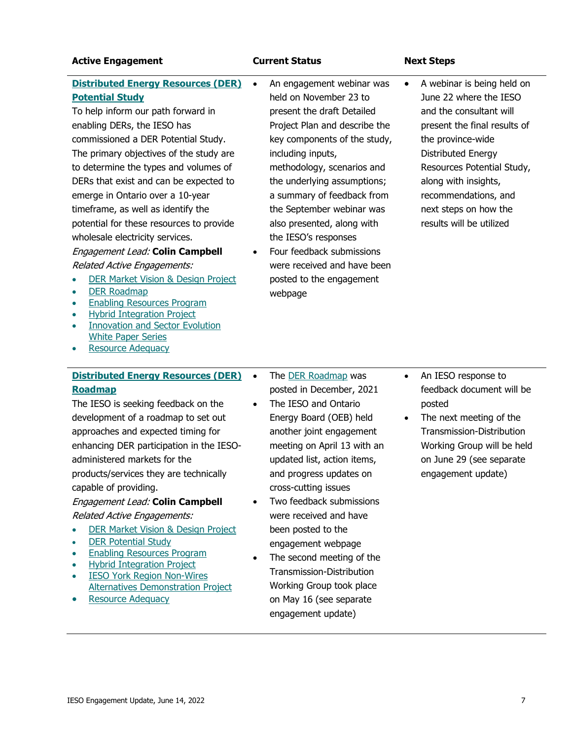#### **Active Engagement Current Status Next Steps**

### **[Distributed Energy Resources \(DER\)](https://www.ieso.ca/en/Sector-Participants/Engagement-Initiatives/Engagements/DER-Potential-Study) [Potential Study](https://www.ieso.ca/en/Sector-Participants/Engagement-Initiatives/Engagements/DER-Potential-Study)**

To help inform our path forward in enabling DERs, the IESO has commissioned a DER Potential Study. The primary objectives of the study are to determine the types and volumes of DERs that exist and can be expected to emerge in Ontario over a 10-year timeframe, as well as identify the potential for these resources to provide wholesale electricity services.

### Engagement Lead: **Colin Campbell** Related Active Engagements:

- [DER Market Vision & Design Project](https://www.ieso.ca/en/Sector-Participants/Engagement-Initiatives/Engagements/Distributed-Energy-Resources-Market-Vision-and-Design-Project)
- [DER Roadmap](https://www.ieso.ca/en/Sector-Participants/Engagement-Initiatives/Engagements/Distributed-Energy-Resources-Roadmap)
- [Enabling Resources Program](https://www.ieso.ca/en/Sector-Participants/Engagement-Initiatives/Engagements/Enabling-Resources-Program)
- [Hybrid Integration Project](https://www.ieso.ca/en/Sector-Participants/Engagement-Initiatives/Engagements/Hybrid-Integration-Project)
- Innovation and Sector Evolution [White Paper Series](https://www.ieso.ca/Sector-Participants/Engagement-Initiatives/Engagements/Innovation-and-Sector-Evolution-White-Paper-Series)
- [Resource Adequacy](https://www.ieso.ca/Sector-Participants/Engagement-Initiatives/Engagements/Resource-Adequacy-Engagement)

### **[Distributed Energy Resources \(DER\)](https://www.ieso.ca/en/Sector-Participants/Engagement-Initiatives/Engagements/Distributed-Energy-Resources-Roadmap)  [Roadmap](https://www.ieso.ca/en/Sector-Participants/Engagement-Initiatives/Engagements/Distributed-Energy-Resources-Roadmap)**

The IESO is seeking feedback on the development of a roadmap to set out approaches and expected timing for enhancing DER participation in the IESOadministered markets for the products/services they are technically capable of providing.

#### Engagement Lead: **Colin Campbell** Related Active Engagements:

- [DER Market Vision & Design Project](https://www.ieso.ca/en/Sector-Participants/Engagement-Initiatives/Engagements/Distributed-Energy-Resources-Market-Vision-and-Design-Project)
- [DER Potential Study](https://www.ieso.ca/en/Sector-Participants/Engagement-Initiatives/Engagements/DER-Potential-Study)
- [Enabling Resources](https://www.ieso.ca/en/Sector-Participants/Engagement-Initiatives/Engagements/Enabling-Resources-Program) Program
- [Hybrid Integration Project](https://www.ieso.ca/en/Sector-Participants/Engagement-Initiatives/Engagements/Hybrid-Integration-Project)
- **IESO York Region Non-Wires** [Alternatives Demonstration Project](https://www.ieso.ca/en/Sector-Participants/Engagement-Initiatives/Engagements/IESO-York-Region-Non-Wires-Alternatives-Demonstration-Project)
- [Resource Adequacy](https://www.ieso.ca/en/Sector-Participants/Engagement-Initiatives/Engagements/Resource-Adequacy-Engagement)
- An engagement webinar was held on November 23 to present the draft Detailed Project Plan and describe the key components of the study, including inputs, methodology, scenarios and the underlying assumptions; a summary of feedback from the September webinar was also presented, along with the IESO's responses
- Four feedback submissions were received and have been posted to the engagement webpage
- A webinar is being held on June 22 where the IESO and the consultant will present the final results of the province-wide Distributed Energy Resources Potential Study, along with insights, recommendations, and next steps on how the results will be utilized

- The [DER Roadmap](https://www.ieso.ca/en/Get-Involved/Innovation/DER-Roadmap) was posted in December, 2021
- The IESO and Ontario Energy Board (OEB) held another joint engagement meeting on April 13 with an updated list, action items, and progress updates on cross-cutting issues
- Two feedback submissions were received and have been posted to the engagement webpage
- The second meeting of the Transmission-Distribution Working Group took place on May 16 (see separate engagement update)
- An IESO response to feedback document will be posted
- The next meeting of the Transmission-Distribution Working Group will be held on June 29 (see separate engagement update)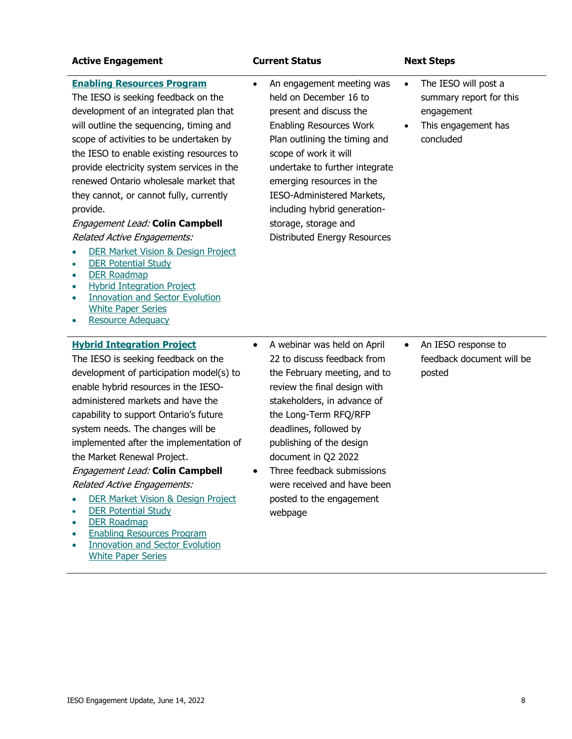#### **Active Engagement Current Status Next Steps**

#### **[Enabling Resources Program](https://www.ieso.ca/en/Sector-Participants/Engagement-Initiatives/Engagements/Enabling-Resources-Program)**

The IESO is seeking feedback on the development of an integrated plan that will outline the sequencing, timing and scope of activities to be undertaken by the IESO to enable existing resources to provide electricity system services in the renewed Ontario wholesale market that they cannot, or cannot fully, currently provide.

Engagement Lead: **Colin Campbell** Related Active Engagements:

- [DER Market Vision](https://www.ieso.ca/en/Sector-Participants/Engagement-Initiatives/Engagements/Distributed-Energy-Resources-Market-Vision-and-Design-Project) & Design Project
- [DER Potential Study](https://www.ieso.ca/en/Sector-Participants/Engagement-Initiatives/Engagements/DER-Potential-Study)
- [DER Roadmap](https://www.ieso.ca/en/Sector-Participants/Engagement-Initiatives/Engagements/Distributed-Energy-Resources-Roadmap)
- [Hybrid Integration Project](https://www.ieso.ca/en/Sector-Participants/Engagement-Initiatives/Engagements/Hybrid-Integration-Project)
- Innovation and Sector Evolution [White Paper Series](https://www.ieso.ca/Sector-Participants/Engagement-Initiatives/Engagements/Innovation-and-Sector-Evolution-White-Paper-Series)
- [Resource Adequacy](https://www.ieso.ca/Sector-Participants/Engagement-Initiatives/Engagements/Resource-Adequacy-Engagement)

### **[Hybrid Integration Project](https://www.ieso.ca/en/Sector-Participants/Engagement-Initiatives/Engagements/Hybrid-Integration-Project)**

• An engagement meeting was held on December 16 to present and discuss the Enabling Resources Work Plan outlining the timing and scope of work it will undertake to further integrate emerging resources in the IESO-Administered Markets, including hybrid generationstorage, storage and

Distributed Energy Resources

- The IESO will post a summary report for this engagement
- This engagement has concluded

- A webinar was held on April 22 to discuss feedback from the February meeting, and to review the final design with stakeholders, in advance of the Long-Term RFQ/RFP deadlines, followed by publishing of the design document in Q2 2022
- Three feedback submissions were received and have been posted to the engagement webpage

• An IESO response to feedback document will be posted

The IESO is seeking feedback on the development of participation model(s) to enable hybrid resources in the IESOadministered markets and have the capability to support Ontario's future system needs. The changes will be implemented after the implementation of the Market Renewal Project. Engagement Lead: **Colin Campbell** Related Active Engagements:

- [DER Market Vision & Design Project](https://www.ieso.ca/en/Sector-Participants/Engagement-Initiatives/Engagements/Distributed-Energy-Resources-Market-Vision-and-Design-Project)
- [DER Potential Study](https://www.ieso.ca/en/Sector-Participants/Engagement-Initiatives/Engagements/DER-Potential-Study)
- [DER Roadmap](https://www.ieso.ca/en/Sector-Participants/Engagement-Initiatives/Engagements/Distributed-Energy-Resources-Roadmap)
- [Enabling Resources](https://www.ieso.ca/en/Sector-Participants/Engagement-Initiatives/Engagements/Enabling-Resources-Program) Program
- [Innovation and Sector Evolution](https://www.ieso.ca/Sector-Participants/Engagement-Initiatives/Engagements/Innovation-and-Sector-Evolution-White-Paper-Series)  [White Paper Series](https://www.ieso.ca/Sector-Participants/Engagement-Initiatives/Engagements/Innovation-and-Sector-Evolution-White-Paper-Series)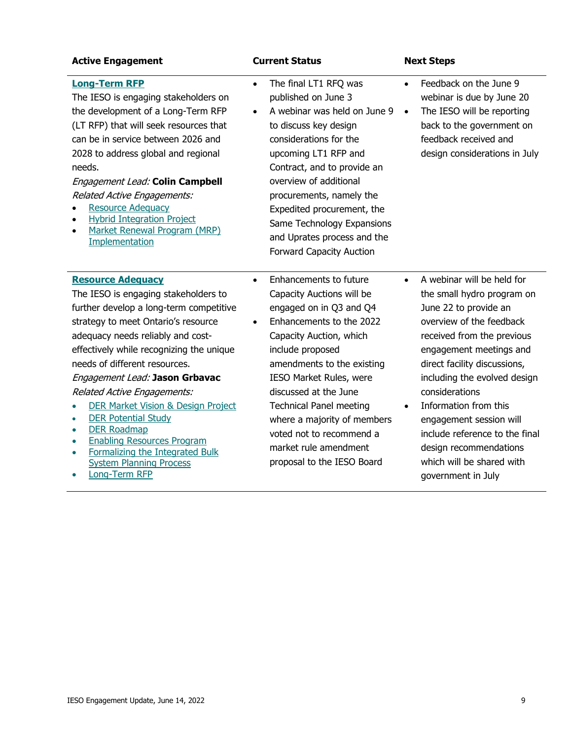| <b>Active Engagement</b>                                                                                                                                                                                                                                                                                                                                                                                                                                                                                                                                                                                     | <b>Current Status</b>                                                                                                                                                                                                                                                                                                                                                                                        | <b>Next Steps</b>                                                                                                                                                                                                                                                                                                                                                                                                                                     |
|--------------------------------------------------------------------------------------------------------------------------------------------------------------------------------------------------------------------------------------------------------------------------------------------------------------------------------------------------------------------------------------------------------------------------------------------------------------------------------------------------------------------------------------------------------------------------------------------------------------|--------------------------------------------------------------------------------------------------------------------------------------------------------------------------------------------------------------------------------------------------------------------------------------------------------------------------------------------------------------------------------------------------------------|-------------------------------------------------------------------------------------------------------------------------------------------------------------------------------------------------------------------------------------------------------------------------------------------------------------------------------------------------------------------------------------------------------------------------------------------------------|
| <b>Long-Term RFP</b><br>The IESO is engaging stakeholders on<br>the development of a Long-Term RFP<br>(LT RFP) that will seek resources that<br>can be in service between 2026 and<br>2028 to address global and regional<br>needs.<br>Engagement Lead: Colin Campbell<br>Related Active Engagements:<br><b>Resource Adequacy</b><br><b>Hybrid Integration Project</b><br>Market Renewal Program (MRP)<br>Implementation                                                                                                                                                                                     | The final LT1 RFQ was<br>$\bullet$<br>published on June 3<br>A webinar was held on June 9<br>$\bullet$<br>to discuss key design<br>considerations for the<br>upcoming LT1 RFP and<br>Contract, and to provide an<br>overview of additional<br>procurements, namely the<br>Expedited procurement, the<br>Same Technology Expansions<br>and Uprates process and the<br>Forward Capacity Auction                | Feedback on the June 9<br>$\bullet$<br>webinar is due by June 20<br>The IESO will be reporting<br>$\bullet$<br>back to the government on<br>feedback received and<br>design considerations in July                                                                                                                                                                                                                                                    |
| <b>Resource Adequacy</b><br>The IESO is engaging stakeholders to<br>further develop a long-term competitive<br>strategy to meet Ontario's resource<br>adequacy needs reliably and cost-<br>effectively while recognizing the unique<br>needs of different resources.<br>Engagement Lead: Jason Grbavac<br>Related Active Engagements:<br><b>DER Market Vision &amp; Design Project</b><br><b>DER Potential Study</b><br>$\bullet$<br><b>DER Roadmap</b><br>$\bullet$<br><b>Enabling Resources Program</b><br>$\bullet$<br>Formalizing the Integrated Bulk<br><b>System Planning Process</b><br>Long-Term RFP | Enhancements to future<br>$\bullet$<br>Capacity Auctions will be<br>engaged on in Q3 and Q4<br>Enhancements to the 2022<br>Capacity Auction, which<br>include proposed<br>amendments to the existing<br>IESO Market Rules, were<br>discussed at the June<br><b>Technical Panel meeting</b><br>where a majority of members<br>voted not to recommend a<br>market rule amendment<br>proposal to the IESO Board | A webinar will be held for<br>$\bullet$<br>the small hydro program on<br>June 22 to provide an<br>overview of the feedback<br>received from the previous<br>engagement meetings and<br>direct facility discussions,<br>including the evolved design<br>considerations<br>Information from this<br>$\bullet$<br>engagement session will<br>include reference to the final<br>design recommendations<br>which will be shared with<br>government in July |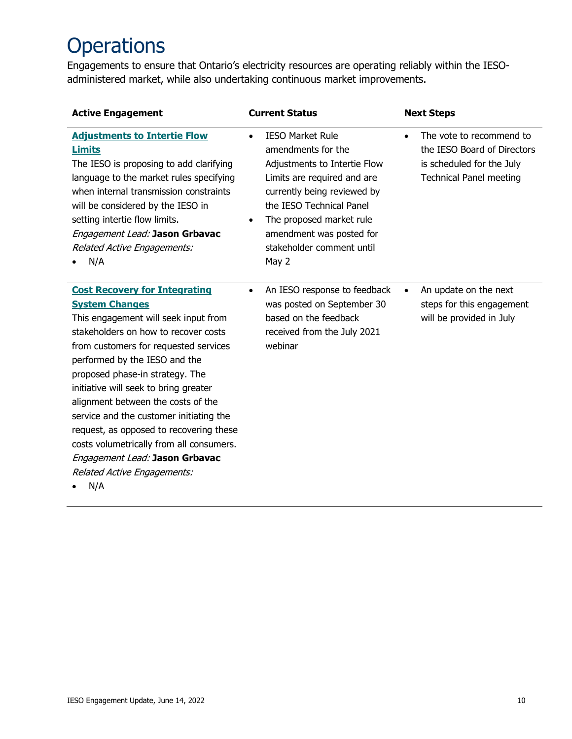# **Operations**

Engagements to ensure that Ontario's electricity resources are operating reliably within the IESOadministered market, while also undertaking continuous market improvements.

| <b>Active Engagement</b>                                                                                                                                                                                                                                                                                                                                                                                                                                                                                                                            | <b>Current Status</b>                                                                                                                                                                                                                                                                           | <b>Next Steps</b>                                                                                                                   |
|-----------------------------------------------------------------------------------------------------------------------------------------------------------------------------------------------------------------------------------------------------------------------------------------------------------------------------------------------------------------------------------------------------------------------------------------------------------------------------------------------------------------------------------------------------|-------------------------------------------------------------------------------------------------------------------------------------------------------------------------------------------------------------------------------------------------------------------------------------------------|-------------------------------------------------------------------------------------------------------------------------------------|
| <b>Adjustments to Intertie Flow</b><br><b>Limits</b><br>The IESO is proposing to add clarifying<br>language to the market rules specifying<br>when internal transmission constraints<br>will be considered by the IESO in<br>setting intertie flow limits.<br>Engagement Lead: Jason Grbavac<br>Related Active Engagements:<br>N/A                                                                                                                                                                                                                  | <b>IESO Market Rule</b><br>$\bullet$<br>amendments for the<br>Adjustments to Intertie Flow<br>Limits are required and are<br>currently being reviewed by<br>the IESO Technical Panel<br>The proposed market rule<br>$\bullet$<br>amendment was posted for<br>stakeholder comment until<br>May 2 | The vote to recommend to<br>$\bullet$<br>the IESO Board of Directors<br>is scheduled for the July<br><b>Technical Panel meeting</b> |
| <b>Cost Recovery for Integrating</b><br><b>System Changes</b><br>This engagement will seek input from<br>stakeholders on how to recover costs<br>from customers for requested services<br>performed by the IESO and the<br>proposed phase-in strategy. The<br>initiative will seek to bring greater<br>alignment between the costs of the<br>service and the customer initiating the<br>request, as opposed to recovering these<br>costs volumetrically from all consumers.<br>Engagement Lead: Jason Grbavac<br>Related Active Engagements:<br>N/A | An IESO response to feedback<br>$\bullet$<br>was posted on September 30<br>based on the feedback<br>received from the July 2021<br>webinar                                                                                                                                                      | An update on the next<br>$\bullet$<br>steps for this engagement<br>will be provided in July                                         |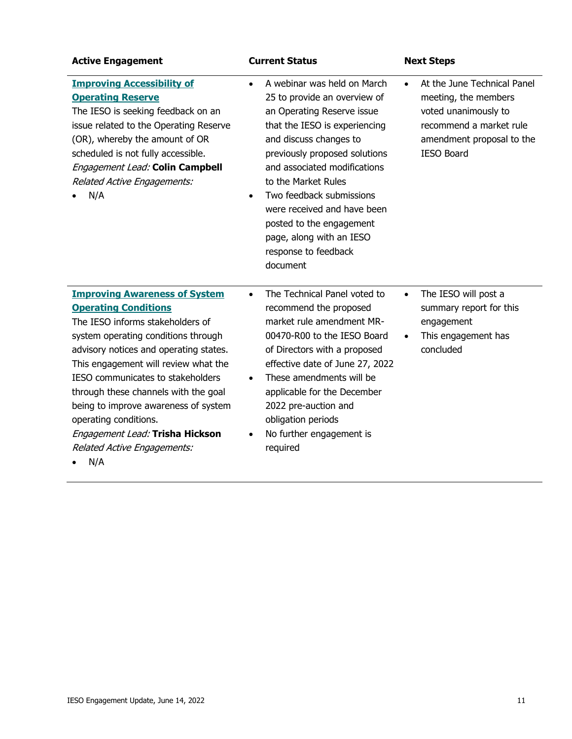| <b>Active Engagement</b>                                                                                                                                                                                                                                                                                                                                                                                                                                | <b>Current Status</b>                                                                                                                                                                                                                                                                                                                                                                                            | <b>Next Steps</b>                                                                                                                                                     |
|---------------------------------------------------------------------------------------------------------------------------------------------------------------------------------------------------------------------------------------------------------------------------------------------------------------------------------------------------------------------------------------------------------------------------------------------------------|------------------------------------------------------------------------------------------------------------------------------------------------------------------------------------------------------------------------------------------------------------------------------------------------------------------------------------------------------------------------------------------------------------------|-----------------------------------------------------------------------------------------------------------------------------------------------------------------------|
| <b>Improving Accessibility of</b><br><b>Operating Reserve</b><br>The IESO is seeking feedback on an<br>issue related to the Operating Reserve<br>(OR), whereby the amount of OR<br>scheduled is not fully accessible.<br>Engagement Lead: Colin Campbell<br>Related Active Engagements:<br>N/A                                                                                                                                                          | A webinar was held on March<br>$\bullet$<br>25 to provide an overview of<br>an Operating Reserve issue<br>that the IESO is experiencing<br>and discuss changes to<br>previously proposed solutions<br>and associated modifications<br>to the Market Rules<br>Two feedback submissions<br>were received and have been<br>posted to the engagement<br>page, along with an IESO<br>response to feedback<br>document | At the June Technical Panel<br>$\bullet$<br>meeting, the members<br>voted unanimously to<br>recommend a market rule<br>amendment proposal to the<br><b>IESO Board</b> |
| <b>Improving Awareness of System</b><br><b>Operating Conditions</b><br>The IESO informs stakeholders of<br>system operating conditions through<br>advisory notices and operating states.<br>This engagement will review what the<br>IESO communicates to stakeholders<br>through these channels with the goal<br>being to improve awareness of system<br>operating conditions.<br>Engagement Lead: Trisha Hickson<br>Related Active Engagements:<br>N/A | The Technical Panel voted to<br>$\bullet$<br>recommend the proposed<br>market rule amendment MR-<br>00470-R00 to the IESO Board<br>of Directors with a proposed<br>effective date of June 27, 2022<br>These amendments will be<br>$\bullet$<br>applicable for the December<br>2022 pre-auction and<br>obligation periods<br>No further engagement is<br>$\bullet$<br>required                                    | The IESO will post a<br>$\bullet$<br>summary report for this<br>engagement<br>This engagement has<br>concluded                                                        |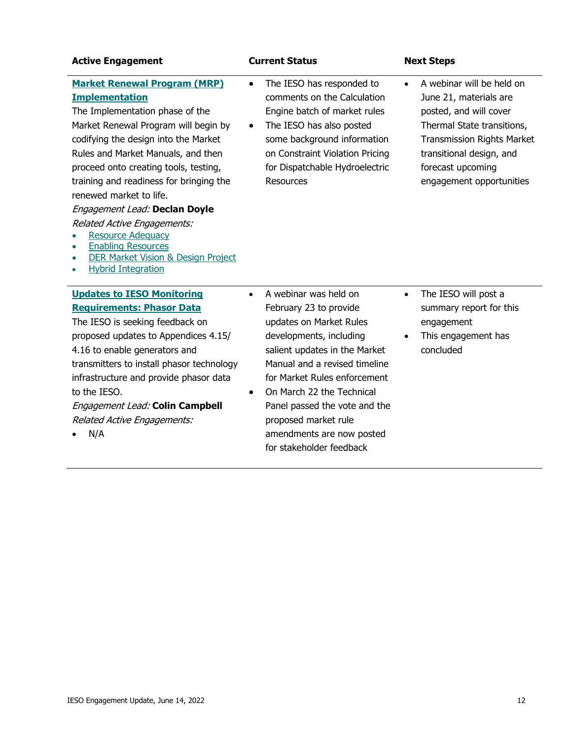| <b>Active Engagement</b>                                                                                                                                                                                                                                                                                                                                                                                                                                                                                                         | <b>Current Status</b>                                                                                                                                                                                                                                                                                                                                  | <b>Next Steps</b>                                                                                                                                                                                                             |
|----------------------------------------------------------------------------------------------------------------------------------------------------------------------------------------------------------------------------------------------------------------------------------------------------------------------------------------------------------------------------------------------------------------------------------------------------------------------------------------------------------------------------------|--------------------------------------------------------------------------------------------------------------------------------------------------------------------------------------------------------------------------------------------------------------------------------------------------------------------------------------------------------|-------------------------------------------------------------------------------------------------------------------------------------------------------------------------------------------------------------------------------|
| <b>Market Renewal Program (MRP)</b><br><b>Implementation</b><br>The Implementation phase of the<br>Market Renewal Program will begin by<br>codifying the design into the Market<br>Rules and Market Manuals, and then<br>proceed onto creating tools, testing,<br>training and readiness for bringing the<br>renewed market to life.<br>Engagement Lead: Declan Doyle<br>Related Active Engagements:<br><b>Resource Adequacy</b><br><b>Enabling Resources</b><br>DER Market Vision & Design Project<br><b>Hybrid Integration</b> | The IESO has responded to<br>$\bullet$<br>comments on the Calculation<br>Engine batch of market rules<br>The IESO has also posted<br>$\bullet$<br>some background information<br>on Constraint Violation Pricing<br>for Dispatchable Hydroelectric<br><b>Resources</b>                                                                                 | A webinar will be held on<br>June 21, materials are<br>posted, and will cover<br>Thermal State transitions,<br><b>Transmission Rights Market</b><br>transitional design, and<br>forecast upcoming<br>engagement opportunities |
| <b>Updates to IESO Monitoring</b><br><b>Requirements: Phasor Data</b><br>The IESO is seeking feedback on<br>proposed updates to Appendices 4.15/<br>4.16 to enable generators and<br>transmitters to install phasor technology<br>infrastructure and provide phasor data<br>to the IESO.<br>Engagement Lead: Colin Campbell<br>Related Active Engagements:<br>N/A                                                                                                                                                                | A webinar was held on<br>February 23 to provide<br>updates on Market Rules<br>developments, including<br>salient updates in the Market<br>Manual and a revised timeline<br>for Market Rules enforcement<br>On March 22 the Technical<br>Panel passed the vote and the<br>proposed market rule<br>amendments are now posted<br>for stakeholder feedback | The IESO will post a<br>$\bullet$<br>summary report for this<br>engagement<br>This engagement has<br>concluded                                                                                                                |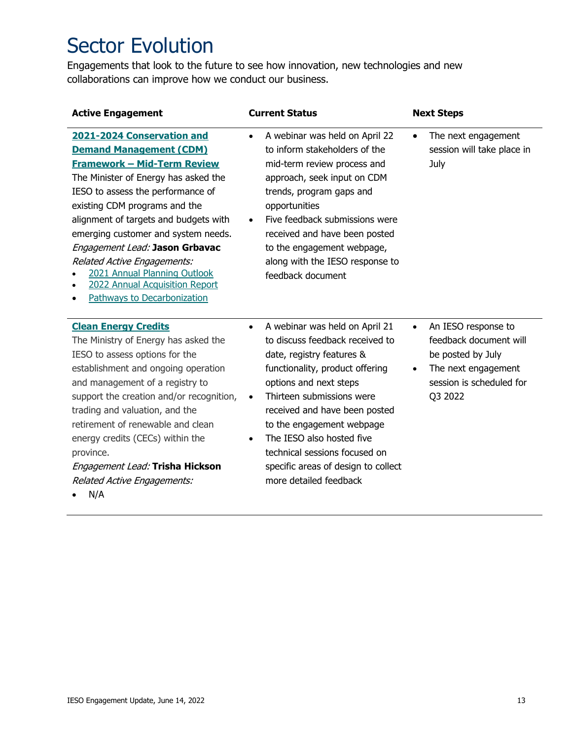## Sector Evolution

Engagements that look to the future to see how innovation, new technologies and new collaborations can improve how we conduct our business.

| <b>Active Engagement</b>                                                                                                                                                                                                                                                                                                                                                                                                                                           | <b>Current Status</b>                                                                                                                                                                                                                                                                                                                                                                                           | <b>Next Steps</b>                                                                                                                                          |
|--------------------------------------------------------------------------------------------------------------------------------------------------------------------------------------------------------------------------------------------------------------------------------------------------------------------------------------------------------------------------------------------------------------------------------------------------------------------|-----------------------------------------------------------------------------------------------------------------------------------------------------------------------------------------------------------------------------------------------------------------------------------------------------------------------------------------------------------------------------------------------------------------|------------------------------------------------------------------------------------------------------------------------------------------------------------|
| 2021-2024 Conservation and<br><b>Demand Management (CDM)</b><br><b>Framework - Mid-Term Review</b><br>The Minister of Energy has asked the<br>IESO to assess the performance of<br>existing CDM programs and the<br>alignment of targets and budgets with<br>emerging customer and system needs.<br>Engagement Lead: Jason Grbavac<br>Related Active Engagements:<br>2021 Annual Planning Outlook<br>2022 Annual Acquisition Report<br>Pathways to Decarbonization | A webinar was held on April 22<br>$\bullet$<br>to inform stakeholders of the<br>mid-term review process and<br>approach, seek input on CDM<br>trends, program gaps and<br>opportunities<br>Five feedback submissions were<br>$\bullet$<br>received and have been posted<br>to the engagement webpage,<br>along with the IESO response to<br>feedback document                                                   | The next engagement<br>$\bullet$<br>session will take place in<br>July                                                                                     |
| <b>Clean Energy Credits</b><br>The Ministry of Energy has asked the<br>IESO to assess options for the<br>establishment and ongoing operation<br>and management of a registry to<br>support the creation and/or recognition,<br>trading and valuation, and the<br>retirement of renewable and clean<br>energy credits (CECs) within the<br>province.<br>Engagement Lead: Trisha Hickson<br>Related Active Engagements:<br>N/A                                       | A webinar was held on April 21<br>$\bullet$<br>to discuss feedback received to<br>date, registry features &<br>functionality, product offering<br>options and next steps<br>Thirteen submissions were<br>$\bullet$<br>received and have been posted<br>to the engagement webpage<br>The IESO also hosted five<br>technical sessions focused on<br>specific areas of design to collect<br>more detailed feedback | An IESO response to<br>$\bullet$<br>feedback document will<br>be posted by July<br>The next engagement<br>$\bullet$<br>session is scheduled for<br>Q3 2022 |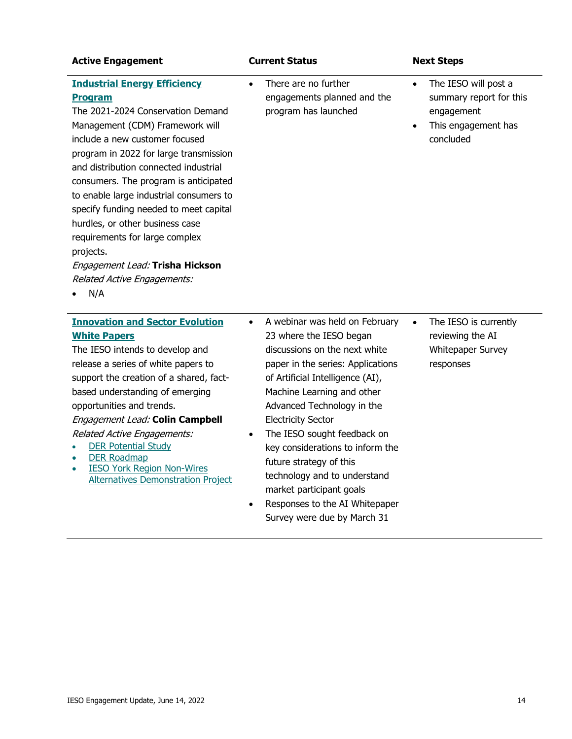| <b>Active Engagement</b>                                                                                                                                                                                                                                                                                                                                                                                                                                                                                                                    | <b>Current Status</b>                                                                                                                                                                                                                                                                                                                                                                                                                                                                   | <b>Next Steps</b>                                                                                                           |
|---------------------------------------------------------------------------------------------------------------------------------------------------------------------------------------------------------------------------------------------------------------------------------------------------------------------------------------------------------------------------------------------------------------------------------------------------------------------------------------------------------------------------------------------|-----------------------------------------------------------------------------------------------------------------------------------------------------------------------------------------------------------------------------------------------------------------------------------------------------------------------------------------------------------------------------------------------------------------------------------------------------------------------------------------|-----------------------------------------------------------------------------------------------------------------------------|
| <b>Industrial Energy Efficiency</b><br><b>Program</b><br>The 2021-2024 Conservation Demand<br>Management (CDM) Framework will<br>include a new customer focused<br>program in 2022 for large transmission<br>and distribution connected industrial<br>consumers. The program is anticipated<br>to enable large industrial consumers to<br>specify funding needed to meet capital<br>hurdles, or other business case<br>requirements for large complex<br>projects.<br>Engagement Lead: Trisha Hickson<br>Related Active Engagements:<br>N/A | There are no further<br>engagements planned and the<br>program has launched                                                                                                                                                                                                                                                                                                                                                                                                             | The IESO will post a<br>$\bullet$<br>summary report for this<br>engagement<br>This engagement has<br>$\bullet$<br>concluded |
| <b>Innovation and Sector Evolution</b><br><b>White Papers</b><br>The IESO intends to develop and<br>release a series of white papers to<br>support the creation of a shared, fact-<br>based understanding of emerging<br>opportunities and trends.<br>Engagement Lead: Colin Campbell<br>Related Active Engagements:<br><b>DER Potential Study</b><br><b>DER Roadmap</b><br><b>IESO York Region Non-Wires</b><br><b>Alternatives Demonstration Project</b>                                                                                  | A webinar was held on February<br>23 where the IESO began<br>discussions on the next white<br>paper in the series: Applications<br>of Artificial Intelligence (AI),<br>Machine Learning and other<br>Advanced Technology in the<br><b>Electricity Sector</b><br>The IESO sought feedback on<br>key considerations to inform the<br>future strategy of this<br>technology and to understand<br>market participant goals<br>Responses to the AI Whitepaper<br>Survey were due by March 31 | The IESO is currently<br>$\bullet$<br>reviewing the AI<br><b>Whitepaper Survey</b><br>responses                             |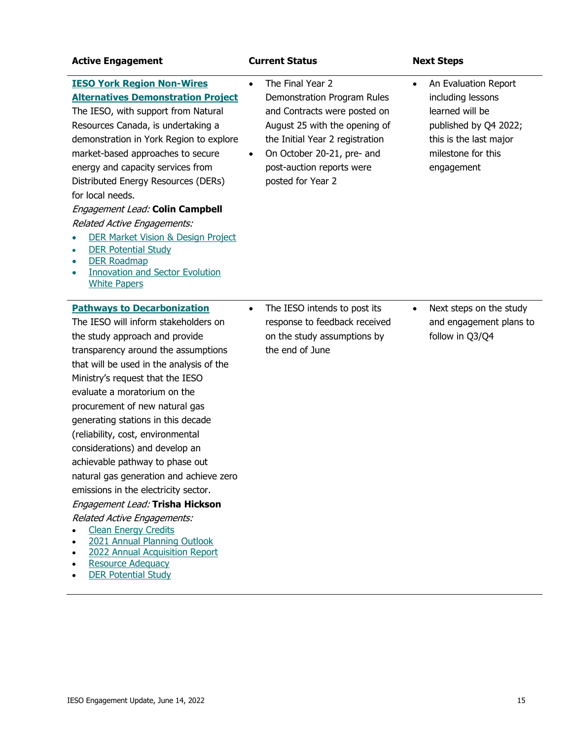| <b>Active Engagement</b>                                                                                                                                                                                                                                                                                                                                                                                                                                                                                                                                                                                                                                                                                                                                              | <b>Current Status</b>                                                                                                                                                                                                                                         | <b>Next Steps</b>                                                                                                                                                |
|-----------------------------------------------------------------------------------------------------------------------------------------------------------------------------------------------------------------------------------------------------------------------------------------------------------------------------------------------------------------------------------------------------------------------------------------------------------------------------------------------------------------------------------------------------------------------------------------------------------------------------------------------------------------------------------------------------------------------------------------------------------------------|---------------------------------------------------------------------------------------------------------------------------------------------------------------------------------------------------------------------------------------------------------------|------------------------------------------------------------------------------------------------------------------------------------------------------------------|
| <b>IESO York Region Non-Wires</b><br><b>Alternatives Demonstration Project</b><br>The IESO, with support from Natural<br>Resources Canada, is undertaking a<br>demonstration in York Region to explore<br>market-based approaches to secure<br>energy and capacity services from<br>Distributed Energy Resources (DERs)<br>for local needs.<br>Engagement Lead: Colin Campbell<br>Related Active Engagements:<br><b>DER Market Vision &amp; Design Project</b><br><b>DER Potential Study</b><br><b>DER Roadmap</b><br><b>Innovation and Sector Evolution</b><br><b>White Papers</b>                                                                                                                                                                                   | The Final Year 2<br>$\bullet$<br>Demonstration Program Rules<br>and Contracts were posted on<br>August 25 with the opening of<br>the Initial Year 2 registration<br>On October 20-21, pre- and<br>$\bullet$<br>post-auction reports were<br>posted for Year 2 | An Evaluation Report<br>$\bullet$<br>including lessons<br>learned will be<br>published by Q4 2022;<br>this is the last major<br>milestone for this<br>engagement |
| <b>Pathways to Decarbonization</b><br>The IESO will inform stakeholders on<br>the study approach and provide<br>transparency around the assumptions<br>that will be used in the analysis of the<br>Ministry's request that the IESO<br>evaluate a moratorium on the<br>procurement of new natural gas<br>generating stations in this decade<br>(reliability, cost, environmental<br>considerations) and develop an<br>achievable pathway to phase out<br>natural gas generation and achieve zero<br>emissions in the electricity sector.<br>Engagement Lead: Trisha Hickson<br>Related Active Engagements:<br><b>Clean Energy Credits</b><br>2021 Annual Planning Outlook<br>2022 Annual Acquisition Report<br><b>Resource Adequacy</b><br><b>DER Potential Study</b> | The IESO intends to post its<br>$\bullet$<br>response to feedback received<br>on the study assumptions by<br>the end of June                                                                                                                                  | Next steps on the study<br>$\bullet$<br>and engagement plans to<br>follow in Q3/Q4                                                                               |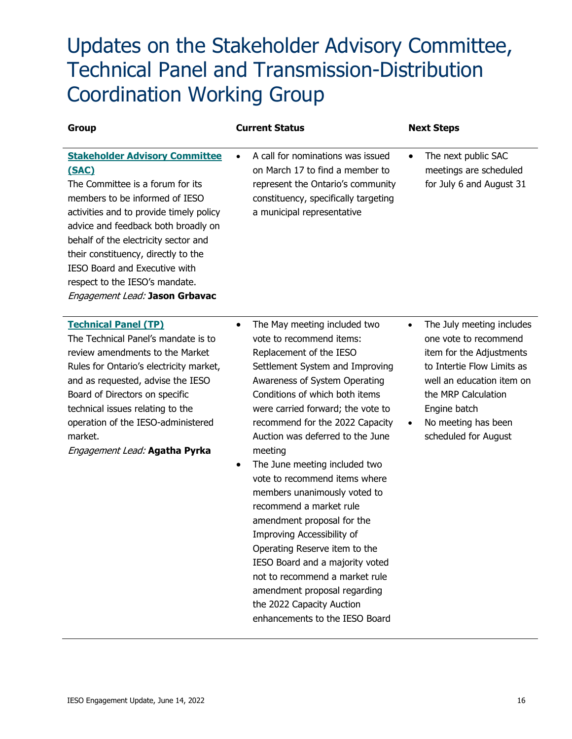## Updates on the Stakeholder Advisory Committee, Technical Panel and Transmission-Distribution Coordination Working Group

| <b>Group</b>                                                                                                                                                                                                                                                                                                                                                                               | <b>Current Status</b>                                                                                                                                                                                                                                                                                                                                                                                                                                                                                                                                                                                                                                                                                                                    | <b>Next Steps</b>                                                                                                                                                                                                                            |
|--------------------------------------------------------------------------------------------------------------------------------------------------------------------------------------------------------------------------------------------------------------------------------------------------------------------------------------------------------------------------------------------|------------------------------------------------------------------------------------------------------------------------------------------------------------------------------------------------------------------------------------------------------------------------------------------------------------------------------------------------------------------------------------------------------------------------------------------------------------------------------------------------------------------------------------------------------------------------------------------------------------------------------------------------------------------------------------------------------------------------------------------|----------------------------------------------------------------------------------------------------------------------------------------------------------------------------------------------------------------------------------------------|
| <b>Stakeholder Advisory Committee</b><br>(SAC)<br>The Committee is a forum for its<br>members to be informed of IESO<br>activities and to provide timely policy<br>advice and feedback both broadly on<br>behalf of the electricity sector and<br>their constituency, directly to the<br>IESO Board and Executive with<br>respect to the IESO's mandate.<br>Engagement Lead: Jason Grbavac | A call for nominations was issued<br>$\bullet$<br>on March 17 to find a member to<br>represent the Ontario's community<br>constituency, specifically targeting<br>a municipal representative                                                                                                                                                                                                                                                                                                                                                                                                                                                                                                                                             | The next public SAC<br>$\bullet$<br>meetings are scheduled<br>for July 6 and August 31                                                                                                                                                       |
| <b>Technical Panel (TP)</b><br>The Technical Panel's mandate is to<br>review amendments to the Market<br>Rules for Ontario's electricity market,<br>and as requested, advise the IESO<br>Board of Directors on specific<br>technical issues relating to the<br>operation of the IESO-administered<br>market.<br>Engagement Lead: Agatha Pyrka                                              | The May meeting included two<br>$\bullet$<br>vote to recommend items:<br>Replacement of the IESO<br>Settlement System and Improving<br>Awareness of System Operating<br>Conditions of which both items<br>were carried forward; the vote to<br>recommend for the 2022 Capacity<br>Auction was deferred to the June<br>meeting<br>The June meeting included two<br>$\bullet$<br>vote to recommend items where<br>members unanimously voted to<br>recommend a market rule<br>amendment proposal for the<br>Improving Accessibility of<br>Operating Reserve item to the<br>IESO Board and a majority voted<br>not to recommend a market rule<br>amendment proposal regarding<br>the 2022 Capacity Auction<br>enhancements to the IESO Board | The July meeting includes<br>$\bullet$<br>one vote to recommend<br>item for the Adjustments<br>to Intertie Flow Limits as<br>well an education item on<br>the MRP Calculation<br>Engine batch<br>No meeting has been<br>scheduled for August |